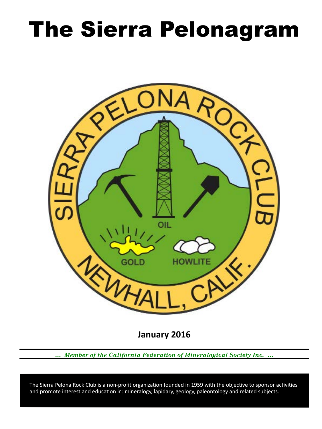# The Sierra Pelonagram



**January 2016**

*… Member of the California Federation of Mineralogical Society Inc. …*

 and promote interest and education in: mineralogy, lapidary, geology, paleontology and related subjects. The Sierra Pelona Rock Club is a non‑profit organization founded in 1959 with the objective to sponsor activities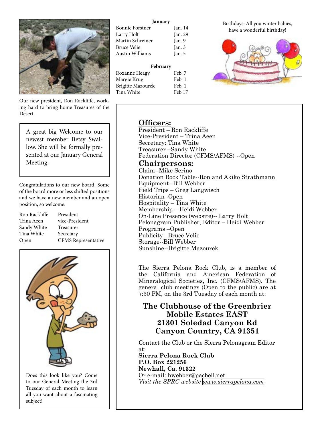

Our new president, Ron Rackliffe, working hard to bring home Treasures of the Desert.

A great big Welcome to our newest member Betsy Swallow. She will be formally presented at our January General Meeting.

Congratulations to our new board! Some of the board more or less shifted positions and we have a new member and an open position, so welcome:

| Ron Rackliffe | President                  |
|---------------|----------------------------|
| Trina Aeen    | vice-President             |
| Sandy White   | Treasurer                  |
| Tina White    | Secretary                  |
| Open          | <b>CFMS</b> Representative |



Does this look like you? Come to our General Meeting the 3rd Tuesday of each month to learn all you want about a fascinating subject!

#### **January**

| Bonnie Forstner  | Jan. 14 |
|------------------|---------|
| Larry Holt       | Jan. 29 |
| Martin Schreiner | Jan. 9  |
| Bruce Velie      | Jan. 3  |
| Austin Williams  | Jan. 5  |
|                  |         |

| February          |        |
|-------------------|--------|
| Roxanne Heagy     | Feb. 7 |
| Margie Krug       | Feb. 1 |
| Brigitte Mazourek | Feb. 1 |
| Tina White        | Feb 17 |

Birthdays: All you winter babies, have a wonderful birthday!



# **Officers:**

President – Ron Rackliffe Vice‑President – Trina Aeen Secretary: Tina White Treasurer –Sandy White Federation Director (CFMS/AFMS) --Open

# **Chairpersons:**

Claim--Mike Serino Donation Rock Table--Ron and Akiko Strathmann Equipment--Bill Webber Field Trips – Greg Langwisch Historian ‑Open Hospitality – Tina White Membership – Heidi Webber On-Line Presence (website)-- Larry Holt Pelonagram Publisher, Editor – Heidi Webber Programs –Open Publicity –Bruce Velie Storage--Bill Webber Sunshine--Brigitte Mazourek

The Sierra Pelona Rock Club, is a member of the California and American Federation of Mineralogical Societies, Inc. (CFMS/AFMS). The general club meetings (Open to the public) are at 7:30 PM, on the 3rd Tuesday of each month at:

# **The Clubhouse of the Greenbrier Mobile Estates EAST 21301 Soledad Canyon Rd Canyon Country, CA 91351**

Contact the Club or the Sierra Pelonagram Editor at: **Sierra Pelona Rock Club P.O. Box 221256 Newhall, Ca. 91322** Or e‑mail: hwebber@pacbell.net *Visit the SPRC website [www.sierrapelona.com](http://www.sierrapelona.com/)*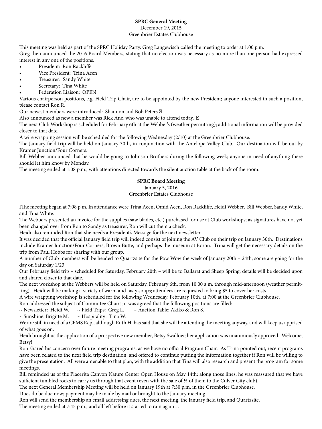## **SPRC General Meeting**

#### December 19, 2015 Greenbrier Estates Clubhouse

This meeting was held as part of the SPRC Holiday Party. Greg Langewisch called the meeting to order at 1:00 p.m. Greg then announced the 2016 Board Members, stating that no election was necessary as no more than one person had expressed interest in any one of the positions.

- President: Ron Rackliffe
- Vice President: Trina Aeen
- Treasurer: Sandy White
- Secretary: Tina White
- Federation Liaison: OPEN

Various chairperson positions, e.g. Field Trip Chair, are to be appointed by the new President; anyone interested in such a position, please contact Ron R.

Our newest members were introduced: Shannon and Bob Peters

Also announced as new a member was Rick Ane, who was unable to attend today.

The next Club Workshop is scheduled for February 6th at the Webber's (weather permitting); additional information will be provided closer to that date.

A wire wrapping session will be scheduled for the following Wednesday (2/10) at the Greenbrier Clubhouse.

The January field trip will be held on January 30th, in conjunction with the Antelope Valley Club. Our destination will be out by Kramer Junction/Four Corners.

Bill Webber announced that he would be going to Johnson Brothers during the following week; anyone in need of anything there should let him know by Monday.

The meeting ended at 1:08 p.m., with attentions directed towards the silent auction table at the back of the room.

# **SPRC Board Meeting**

### January 5, 2016

Greenbrier Estates Clubhouse

IThe meeting began at 7:08 p.m. In attendance were Trina Aeen, Omid Aeen, Ron Rackliffe, Heidi Webber, Bill Webber, Sandy White, and Tina White.

The Webbers presented an invoice for the supplies (saw blades, etc.) purchased for use at Club workshops; as signatures have not yet been changed over from Ron to Sandy as treasurer, Ron will cut them a check.

Heidi also reminded Ron that she needs a President's Message for the next newsletter.

It was decided that the official January field trip will indeed consist of joining the AV Club on their trip on January 30th. Destinations include Kramer Junction/Four Corners, Brown Butte, and perhaps the museum at Boron. Trina will get the necessary details on the trip from Paul Hobbs for sharing with our group.

A number of Club members will be headed to Quartzsite for the Pow Wow the week of January 20th – 24th; some are going for the day on Saturday 1/23.

Our February field trip – scheduled for Saturday, February 20th – will be to Ballarat and Sheep Spring; details will be decided upon and shared closer to that date.

The next workshop at the Webbers will be held on Saturday, February 6th, from 10:00 a.m. through mid-afternoon (weather permitting). Heidi will be making a variety of warm and tasty soups; attendees are requested to bring \$5 to cover her costs.

A wire wrapping workshop is scheduled for the following Wednesday, February 10th, at 7:00 at the Greenbrier Clubhouse.

Ron addressed the subject of Committee Chairs; it was agreed that the following positions are filled:<br>
~ Newsletter: Heidi W. ~ Field Trips: Greg L. ~ Auction Table: Akiko & Ron S.

 $\sim$  Newsletter: Heidi W.  $\sim$  Field Trips: Greg L.  $\sim$  Auction Table: Akiko & Ron S.

 $\sim$  Sunshine: Brigitte M.  $\sim$  Hospitality: Tina W.

We are still in need of a CFMS Rep., although Ruth H. has said that she will be attending the meeting anyway, and will keep us apprised of what goes on.

Heidi brought us the application of a prospective new member, Betsy Swallow; her application was unanimously approved. Welcome, Betsy!

Ron shared his concern over future meeting programs, as we have no official Program Chair. As Trina pointed out, recent programs have been related to the next field trip destination, and offered to continue putting the information together if Ron will be willing to give the presentation. All were amenable to that plan, with the addition that Tina will also research and present the program for some meetings.

Bill reminded us of the Placerita Canyon Nature Center Open House on May 14th; along those lines, he was reassured that we have sufficient tumbled rocks to carry us through that event (even with the sale of  $\frac{1}{2}$  of them to the Culver City club).

The next General Membership Meeting will be held on January 19th at 7:30 p.m. in the Greenbrier Clubhouse.

Dues do be due now; payment may be made by mail or brought to the January meeting.

Ron will send the membership an email addressing dues, the next meeting, the January field trip, and Quartzsite.

The meeting ended at 7:45 p.m., and all left before it started to rain again…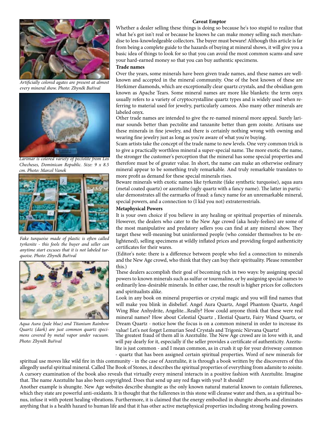#### **Caveat Emptor**



*Artificially colored agates are present at almost every mineral show. Photo: Zbyněk Buřival*



*Larimar is colored variety of pectolite from Los Checheses, Dominican Republic. Size: 9 x 8.5 cm. Photo: Marcel Vanek*



*Fake turquoise made of plastic is often called tyrkenite - this fools the buyer and seller can anytime start excuses that it is not labeled turquoise. Photo: Zbyněk Buřival*



*Aqua Aura (pale blue) and Titanium Rainbow Quartz (dark) are just common quartz specimens covered by metal vapor under vacuum. Photo: Zbyněk Buřival*

Whether a dealer selling these things is doing so because he's too stupid to realize that what he's got isn't real or because he knows he can make money selling such merchandise to less-knowledgeable collectors. The buyer must beware! Although this article is far from being a complete guide to the hazards of buying at mineral shows, it will give you a basic idea of things to look for so that you can avoid the most common scams-and save your hard-earned money so that you can buy authentic specimens.

#### **Trade names**

Over the years, some minerals have been given trade names, and these names are wellknown and accepted in the mineral community. One of the best known of these are Herkimer diamonds, which are exceptionally clear quartz crystals, and the obsidian gem known as Apache Tears. Some mineral names are more like blankets: the term onyx usually refers to a variety of cryptocrystalline quartz types and is widely used when referring to material used for jewelry, particularly cameos. Also many other minerals are labeled onyx.

Other trade names are intended to give the re-named mineral more appeal. Surely larimar sounds better than pectolite and tanzanite better than gem zoisite. Artisans use these minerals in fine jewelry, and there is certainly nothing wrong with owning and wearing fine jewelry just as long as you're aware of what you're buying.

Scam artists take the concept of the trade name to new levels. One very common trick is to give a practically worthless mineral a super-special name. The more exotic the name, the stronger the customer's perception that the mineral has some special properties and therefore must be of greater value. In short, the name can make an otherwise ordinary mineral appear to be something truly remarkable. And truly remarkable translates to more profit as demand for these special minerals rises.

Beware minerals with exotic names like tyrkenite (fake synthetic turquoise), aqua aura (metal coated quartz) or azeztulite (ugly quartz with a fancy name). The latter in particular demonstrates all the earmarks of fraud: a fancy name for an unremarkable mineral, special powers, and a connection to (I kid you not) extraterrestrials.

#### **Metaphysical Powers**

It is your own choice if you believe in any healing or spiritual properties of minerals. However, the dealers who cater to the New Age crowd (aka healy-feelies) are some of the most manipulative and predatory sellers you can find at any mineral show. They target these well-meaning but uninformed people (who consider themselves to be enlightened), selling specimens at wildly inflated prices and providing forged authenticity certificates for their wares.

(Editor's note: there is a difference between people who feel a connection to minerals and the New Age crowd, who think that they can buy their spirituality. Please remember this.)

These dealers accomplish their goal of becoming rich in two ways: by assigning special powers to known minerals such as sulfur or tourmaline, or by assigning special names to ordinarily less-desirable minerals. In either case, the result is higher prices for collectors and spiritualists alike.

Look in any book on mineral properties or crystal magic and you will find names that will make you blink in disbelief. Angel Aura Quartz, Angel Phantom Quartz, Angel Wing Blue Anhydrite, Angelite...Really? How could anyone think that these were real mineral names? How about Celestial Quartz , Elestial Quartz, Fairy Wand Quartz, or Dream Quartz - notice how the focus is on a common mineral in order to increase its value! Let's not forget Lemurian Seed Crystals and Trigonic Nirvana Quartz!

The greatest fraud of them all is Azeztulite. The New Age crowd are in love with it, and will pay dearly for it, especially if the seller provides a certificate of authenticity. Azeztulite is just common - and I mean common, as in crush it up for your driveway common - quartz that has been assigned certain spiritual properties. Word of new minerals for

spiritual use moves like wild fire in this community - in the case of Azeztulite, it is through a book written by the discoverers of this allegedly useful spiritual mineral. Called The Book of Stones, it describes the spiritual properties of everything from adamite to zoisite. A cursory examination of the book also reveals that virtually every mineral interacts in a positive fashion with Azeztulite. Imagine that. The name Azeztulite has also been copyrighted. Does that send up any red flags with you? It should!

Another example is shungite. New Age websites describe shungite as the only known natural material known to contain fullerenes, which they state are powerful anti-oxidants. It is thought that the fullerenes in this stone will cleanse water and then, as a spiritual bonus, infuse it with potent healing vibrations. Furthermore, it is claimed that the energy embodied in shungite absorbs and eliminates anything that is a health hazard to human life and that it has other active metaphysical properties including strong healing powers.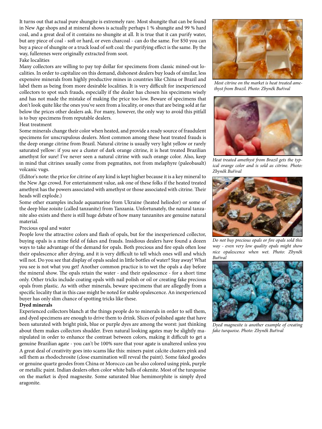It turns out that actual pure shungite is extremely rare. Most shungite that can be found in New Age shops and at mineral shows is actually perhaps 1 % shungite and 99 % hard coal, and a great deal of it contains no shungite at all. It is true that it can purify water, but any piece of coal - soft or hard, or even charcoal - can do the same. For \$50 you can buy a piece of shungite or a truck load of soft coal: the purifying effect is the same. By the way, fullerenes were originally extracted from soot.

#### Fake localities

Many collectors are willing to pay top dollar for specimens from classic mined-out localities. In order to capitalize on this demand, dishonest dealers buy loads of similar, less expensive minerals from highly productive mines in countries like China or Brazil and label them as being from more desirable localities. It is very difficult for inexperienced collectors to spot such frauds, especially if the dealer has chosen his specimens wisely and has not made the mistake of making the price too low. Beware of specimens that don't look quite like the ones you've seen from a locality, or ones that are being sold at far below the prices other dealers ask. For many, however, the only way to avoid this pitfall is to buy specimens from reputable dealers.

#### Heat treatment

Some minerals change their color when heated, and provide a ready source of fraudulent specimens for unscrupulous dealers. Most common among these heat treated frauds is the deep orange citrine from Brazil. Natural citrine is usually very light yellow or rarely saturated yellow: if you see a cluster of dark orange citrine, it is heat treated Brazilian amethyst for sure! I've never seen a natural citrine with such orange color. Also, keep in mind that citrines usually come from pegmatites, not from melaphyre (paleobasalt) volcanic vugs.

(Editor's note: the price for citrine of any kind is kept higher because it is a key mineral to the New Age crowd. For entertainment value, ask one of these folks if the heated treated amethyst has the powers associated with amethyst or those associated with citrine. Their heads will explode.)

Some other examples include aquamarine from Ukraine (heated heliodor) or some of the deep blue zoisite (called tanzanite) from Tanzania. Unfortunately, the natural tanzanite also exists and there is still huge debate of how many tanzanites are genuine natural material.

#### Precious opal and water

People love the attractive colors and flash of opals, but for the inexperienced collector, buying opals is a mine field of fakes and frauds. Insidious dealers have found a dozen ways to take advantage of the demand for opals. Both precious and fire opals often lose their opalescence after drying, and it is very difficult to tell which ones will and which will not. Do you see that display of opals sealed in little bottles of water? Stay away! What you see is not what you get! Another common practice is to wet the opals a day before the mineral show. The opals retain the water - and their opalescence - for a short time only. Other tricks include coating opals with nail polish or oil or creating fake precious opals from plastic. As with other minerals, beware specimens that are allegedly from a specific locality that in this case might be noted for stable opalescence. An inexperienced buyer has only slim chance of spotting tricks like these.

#### **Dyed minerals**

Experienced collectors blanch at the things people do to minerals in order to sell them, and dyed specimens are enough to drive them to drink. Slices of polished agate that have been saturated with bright pink, blue or purple dyes are among the worst: just thinking about them makes collectors shudder. Even natural looking agates may be slightly manipulated in order to enhance the contrast between colors, making it difficult to get a genuine Brazilian agate - you can't be 100% sure that your agate is unaltered unless you A great deal of creativity goes into scams like this: miners paint calcite clusters pink and sell them as rhodochrosite (close examination will reveal the paint). Some faked geodes or genuine quartz geodes from China or Morocco can be also colored using pink, purple or metallic paint. Indian dealers often color white balls of okenite. Most of the turquoise on the market is dyed magnesite. Some saturated blue hemimorphite is simply dyed aragonite.



*Most citrine on the market is heat treated amethyst from Brazil. Photo: Zbyněk Buřival*



*Heat treated amethyst from Brazil gets the typical orange color and is sold as citrine. Photo: Zbyněk Buřival*



*Do not buy precious opals or fire opals sold this way - even very low quality opals might show nice opalescence when wet. Photo: Zbyněk Buřival*



*Dyed magnesite is another example of creating fake turquoise. Photo: Zbyněk Buřival*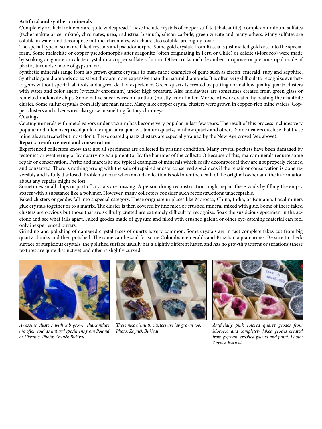#### **Artificial and synthetic minerals**

Completely artificial minerals are quite widespread. These include crystals of copper sulfate (chalcantite), complex aluminum sulfates (tschermakite or cermikite), chromates, urea, industrial bismuth, silicon carbide, green zincite and many others. Many sulfates are soluble in water and decompose in time; chromates, which are also soluble, are highly toxic.

The special type of scam are faked crystals and pseudomorphs. Some gold crystals from Russia is just melted gold cast into the special form. Some malachite or copper pseudomorphs after aragonite (often originating in Peru or Chile) or calcite (Morocco) were made by soaking aragonite or calcite crystal in a copper sulfate solution. Other tricks include amber, turquoise or precious opal made of plastic, turquoise made of gypsum etc.

Synthetic minerals range from lab grown quartz crystals to man-made examples of gems such as zircon, emerald, ruby and sapphire. Synthetic gem diamonds do exist but they are more expensive than the natural diamonds. It is often very difficult to recognize synthetic gems without special lab tools and a great deal of experience. Green quartz is created by putting normal low quality quartz clusters with water and color agent (typically chromium) under high pressure. Also moldavites are sometimes created from green glass or remelted moldavite chips. Some native silver wires on acathite (mostly from Imiter, Morocco) were created by heating the acanthite cluster. Some sulfur crystals from Italy are man made. Many nice copper crystal clusters were grown in copper-rich mine waters. Copper clusters and silver wires also grow in smelting factory chimneys.

#### Coatings

Coating minerals with metal vapors under vacuum has become very popular in last few years. The result of this process includes very popular and often overpriced junk like aqua aura quartz, titanium quartz, rainbow quartz and others. Some dealers disclose that these minerals are treated but most don't. These coated quartz clusters are especially valued by the New Age crowd (see above).

#### **Repairs, reinforcement and conservation**

Experienced collectors know that not all specimens are collected in pristine condition. Many crystal pockets have been damaged by tectonics or weathering or by quarrying equipment (or by the hammer of the collector.) Because of this, many minerals require some repair or conservation. Pyrite and marcasite are typical examples of minerals which easily decompose if they are not properly cleaned and conserved. There is nothing wrong with the sale of repaired and/or conserved specimens if the repair or conservation is done reversibly and is fully disclosed. Problems occur when an old collection is sold after the death of the original owner and the information about any repairs might be lost.

Sometimes small chips or part of crystals are missing. A person doing reconstruction might repair these voids by filling the empty spaces with a substance like a polymer. However, many collectors consider such reconstructions unacceptable.

Faked clusters or geodes fall into a special category. These originate in places like Morocco, China, India, or Romania. Local miners glue crystals together or to a matrix. The cluster is then covered by fine mica or crushed mineral mixed with glue. Some of these faked clusters are obvious but those that are skillfully crafted are extremely difficult to recognize. Soak the suspicious specimen in the acetone and see what falls apart. Faked geodes made of gypsum and filled with crushed galena or other eye-catching material can fool only inexperienced buyers.

Grinding and polishing of damaged crystal faces of quartz is very common. Some crystals are in fact complete fakes cut from big quartz chunks and then polished. The same can be said for some Colombian emeralds and Brazilian aquamarines. Be sure to check surface of suspicious crystals: the polished surface usually has a slightly different luster, and has no growth patterns or striations (these textures are quite distinctive) and often is slightly curved.



*Awesome clusters with lab grown chalcanthite are often sold as natural specimens from Poland or Ukraine. Photo: Zbyněk Buřival*



*These nice bismuth clusters are lab grown too. Photo: Zbyněk Buřival*



*Artificially pink colored quartz geodes from Morocco and completely faked geodes created from gypsum, crushed galena and paint. Photo: Zbyněk Buřival*